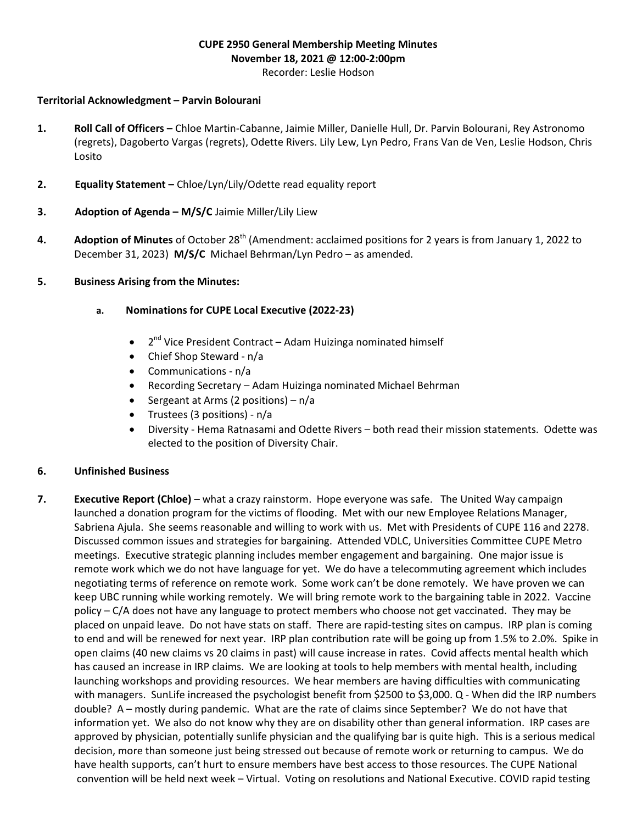## CUPE 2950 General Membership Meeting Minutes November 18, 2021 @ 12:00-2:00pm

Recorder: Leslie Hodson

## Territorial Acknowledgment – Parvin Bolourani

- 1. Roll Call of Officers Chloe Martin-Cabanne, Jaimie Miller, Danielle Hull, Dr. Parvin Bolourani, Rey Astronomo (regrets), Dagoberto Vargas (regrets), Odette Rivers. Lily Lew, Lyn Pedro, Frans Van de Ven, Leslie Hodson, Chris Losito
- 2. Equality Statement Chloe/Lyn/Lily/Odette read equality report
- 3. Adoption of Agenda M/S/C Jaimie Miller/Lily Liew
- 4. Adoption of Minutes of October 28<sup>th</sup> (Amendment: acclaimed positions for 2 years is from January 1, 2022 to December 31, 2023) M/S/C Michael Behrman/Lyn Pedro – as amended.
- 5. Business Arising from the Minutes:
	- a. Nominations for CUPE Local Executive (2022-23)
		- 2<sup>nd</sup> Vice President Contract Adam Huizinga nominated himself
		- Chief Shop Steward n/a
		- Communications n/a
		- Recording Secretary Adam Huizinga nominated Michael Behrman
		- Sergeant at Arms (2 positions)  $n/a$
		- Trustees (3 positions) n/a
		- Diversity Hema Ratnasami and Odette Rivers both read their mission statements. Odette was elected to the position of Diversity Chair.

## 6. Unfinished Business

7. Executive Report (Chloe) – what a crazy rainstorm. Hope everyone was safe. The United Way campaign launched a donation program for the victims of flooding. Met with our new Employee Relations Manager, Sabriena Ajula. She seems reasonable and willing to work with us. Met with Presidents of CUPE 116 and 2278. Discussed common issues and strategies for bargaining. Attended VDLC, Universities Committee CUPE Metro meetings. Executive strategic planning includes member engagement and bargaining. One major issue is remote work which we do not have language for yet. We do have a telecommuting agreement which includes negotiating terms of reference on remote work. Some work can't be done remotely. We have proven we can keep UBC running while working remotely. We will bring remote work to the bargaining table in 2022. Vaccine policy – C/A does not have any language to protect members who choose not get vaccinated. They may be placed on unpaid leave. Do not have stats on staff. There are rapid-testing sites on campus. IRP plan is coming to end and will be renewed for next year. IRP plan contribution rate will be going up from 1.5% to 2.0%. Spike in open claims (40 new claims vs 20 claims in past) will cause increase in rates. Covid affects mental health which has caused an increase in IRP claims. We are looking at tools to help members with mental health, including launching workshops and providing resources. We hear members are having difficulties with communicating with managers. SunLife increased the psychologist benefit from \$2500 to \$3,000. Q - When did the IRP numbers double? A – mostly during pandemic. What are the rate of claims since September? We do not have that information yet. We also do not know why they are on disability other than general information. IRP cases are approved by physician, potentially sunlife physician and the qualifying bar is quite high. This is a serious medical decision, more than someone just being stressed out because of remote work or returning to campus. We do have health supports, can't hurt to ensure members have best access to those resources. The CUPE National convention will be held next week – Virtual. Voting on resolutions and National Executive. COVID rapid testing